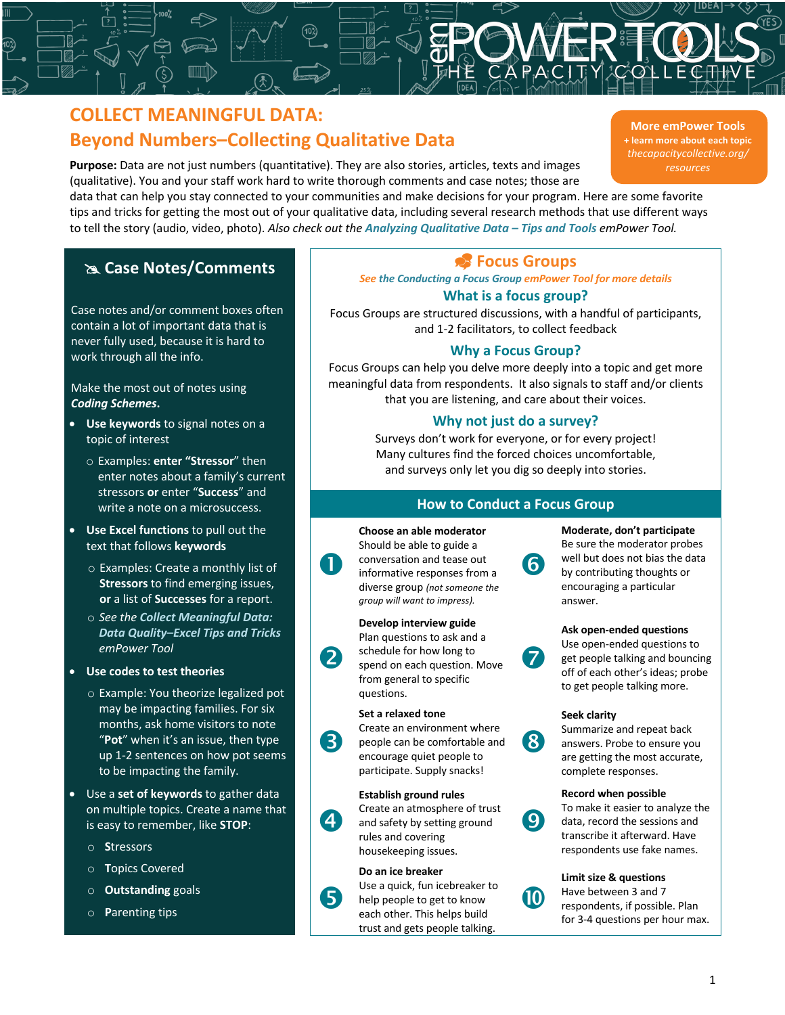# **COLLECT MEANINGFUL DATA: Beyond Numbers–Collecting Qualitative Data**

**Purpose:** Data are not just numbers (quantitative). They are also stories, articles, texts and images (qualitative). You and your staff work hard to write thorough comments and case notes; those are

 $\mathbf 0$ 

2

3

 $\overline{4}$ 

5

data that can help you stay connected to your communities and make decisions for your program. Here are some favorite tips and tricks for getting the most out of your qualitative data, including several research methods that use different ways to tell the story (audio, video, photo). *Also check out the Analyzing Qualitative Data – Tips and Tools emPower Tool.*

# @ **Case Notes/Comments** \_ **Focus Groups**

Case notes and/or comment boxes often contain a lot of important data that is never fully used, because it is hard to work through all the info.

Make the most out of notes using *Coding Schemes***.**

- **Use keywords** to signal notes on a topic of interest
	- o Examples: **enter "Stressor**" then enter notes about a family's current stressors **or** enter "**Success**" and write a note on a microsuccess.
- **Use Excel functions** to pull out the text that follows **keywords**
	- o Examples: Create a monthly list of **Stressors** to find emerging issues, **or** a list of **Successes** for a report.
	- o *See the Collect Meaningful Data: Data Quality–Excel Tips and Tricks emPower Tool*
- **Use codes to test theories** 
	- o Example: You theorize legalized pot may be impacting families. For six months, ask home visitors to note "**Pot**" when it's an issue, then type up 1-2 sentences on how pot seems to be impacting the family.
- Use a **set of keywords** to gather data on multiple topics. Create a name that is easy to remember, like **STOP**:
	- o **S**tressors
	- o **T**opics Covered
	- o **Outstanding** goals
	- o **P**arenting tips

# *See the Conducting a Focus Group emPower Tool for more details*

# **What is a focus group?**

Focus Groups are structured discussions, with a handful of participants, and 1-2 facilitators, to collect feedback

# **Why a Focus Group?**

Focus Groups can help you delve more deeply into a topic and get more meaningful data from respondents. It also signals to staff and/or clients that you are listening, and care about their voices.

# **Why not just do a survey?**

Surveys don't work for everyone, or for every project! Many cultures find the forced choices uncomfortable, and surveys only let you dig so deeply into stories.

# **How to Conduct a Focus Group**

6

# **Choose an able moderator** Should be able to guide a conversation and tease out informative responses from a diverse group *(not someone the group will want to impress).*

# **Develop interview guide**

### Plan questions to ask and a schedule for how long to spend on each question. Move from general to specific questions.

# **Set a relaxed tone**

Create an environment where people can be comfortable and encourage quiet people to participate. Supply snacks!

# **Establish ground rules** Create an atmosphere of trust and safety by setting ground rules and covering housekeeping issues.

# **Do an ice breaker**

Use a quick, fun icebreaker to help people to get to know each other. This helps build trust and gets people talking.

**Moderate, don't participate** Be sure the moderator probes well but does not bias the data by contributing thoughts or encouraging a particular answer.

#### **Ask open-ended questions**



# **Seek clarity**



 $\boldsymbol{\theta}$ 

Summarize and repeat back answers. Probe to ensure you are getting the most accurate, complete responses.

#### **Record when possible**



10

To make it easier to analyze the data, record the sessions and transcribe it afterward. Have respondents use fake names.

# **Limit size & questions**

Have between 3 and 7 respondents, if possible. Plan for 3-4 questions per hour max.

**More emPower Tools + learn more about each topic** *thecapacitycollective.org/ resources*